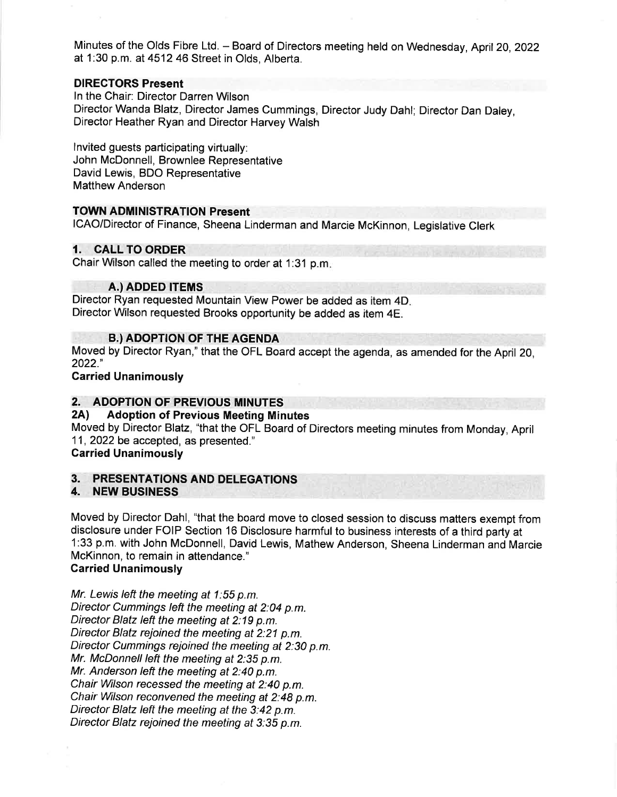Minutes of the Olds Fibre Ltd. - Board of Directors meeting held on Wednesday, April 20, 2022 at 1:30 p.m. at 4512 46 Street in Olds, Alberta.

#### DIRECTORS Present

ln the Chair: Director Darren Wilson Director Wanda Blatz, Director James Cummings, Director Judy Dahl; Director Dan Daley, Director Heather Ryan and Director Harvey Walsh

lnvited guests participating virtually: John McDonnell, Brownlee Representative David Lewis, BDO Representative Matthew Anderson

#### TOWN ADMINISTRATION Present

ICAO/Director of Finance, Sheena Linderman and Marcie McKinnon, Legislative Clerk

## 1. CALL TO ORDER

Chair Wilson called the meeting to order at 1:31 p.m

#### A.) ADDED ITEMS

Director Ryan requested Mountain View Power be added as item 4D Director Wilson requested Brooks opportunity be added as item 4E.

#### **B.) ADOPTION OF THE AGENDA**

Moved by Director Ryan," that the OFL Board accept the agenda, as amended for the April 20, 2022."

Carried Unanimously

# 2. ADOPTION OF PREVIOUS MINUTES<br>2A) Adoption of Previous Meeting Minutes

Moved by Director Blatz, "that the OFL Board of Directors meeting minutes from Monday, April <sup>11</sup>, 2022 be accepted, as presented."

## Carried Unanimously

# 3. PRESENTATIONS AND DELEGATIONS 4. NEW BUSINESS

Moved by Director Dahl, "that the board move to closed session to discuss matters exempt from disclosure under FOIP Section 16 Disclosure harmful to business interests of a third party at 1:33 p.m. with John McDonnell, David Lewis, Mathew Anderson, Sheena Linderman and Marcie McKinnon, to remain in attendance."

#### Garried Unanimously

Mr. Lewis left the meeting at 1:55 p.m. Director Cummings Ieft the meeting at 2:04 p.m. Director Blatz left the meeting at  $2:19$  p.m. Director Blatz rejoined the meeting at 2:21 p.m. Director Cummings rejoined the meeting at 2:30 p.m. Mr. McDonnell left the meeting at 2:35 p.m. Mr. Anderson left the meeting at 2:40 p.m. Chair Wilson recessed the meeting at 2:40 p.m. Chair Wilson reconvened the meeting at 2:48 p.m. Director Blatz left the meeting at the 3:42 p.m. Director Blatz rejoined the meeting at 3:35 p.m.